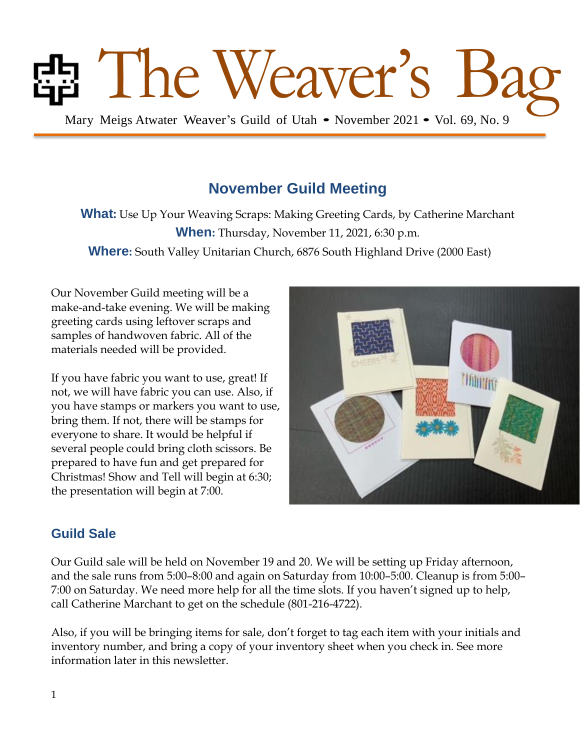# The Weaver's B

Mary Meigs Atwater Weaver's Guild of Utah • November 2021 • Vol. 69, No. 9

## **November Guild Meeting**

**What:** Use Up Your Weaving Scraps: Making Greeting Cards, by Catherine Marchant **When:** Thursday, November 11, 2021, 6:30 p.m. **Where:** South Valley Unitarian Church, 6876 South Highland Drive (2000 East)

Our November Guild meeting will be a make-and-take evening. We will be making greeting cards using leftover scraps and samples of handwoven fabric. All of the materials needed will be provided.

If you have fabric you want to use, great! If not, we will have fabric you can use. Also, if you have stamps or markers you want to use, bring them. If not, there will be stamps for everyone to share. It would be helpful if several people could bring cloth scissors. Be prepared to have fun and get prepared for Christmas! Show and Tell will begin at 6:30; the presentation will begin at 7:00.



## **Guild Sale**

Our Guild sale will be held on November 19 and 20. We will be setting up Friday afternoon, and the sale runs from 5:00–8:00 and again on Saturday from 10:00–5:00. Cleanup is from 5:00– 7:00 on Saturday. We need more help for all the time slots. If you haven't signed up to help, call Catherine Marchant to get on the schedule (801-216-4722).

Also, if you will be bringing items for sale, don't forget to tag each item with your initials and inventory number, and bring a copy of your inventory sheet when you check in. See more information later in this newsletter.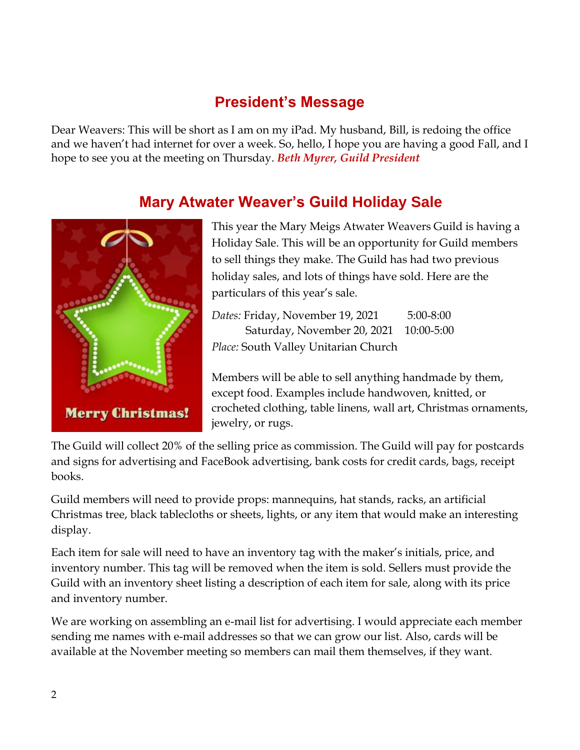## **President's Message**

Dear Weavers: This will be short as I am on my iPad. My husband, Bill, is redoing the office and we haven't had internet for over a week. So, hello, I hope you are having a good Fall, and I hope to see you at the meeting on Thursday. *Beth Myrer, Guild President* 

## **Mary Atwater Weaver's Guild Holiday Sale**



This year the Mary Meigs Atwater Weavers Guild is having a Holiday Sale. This will be an opportunity for Guild members to sell things they make. The Guild has had two previous holiday sales, and lots of things have sold. Here are the particulars of this year's sale.

*Dates:* Friday, November 19, 2021 5:00-8:00 Saturday, November 20, 2021 10:00-5:00 *Place:* South Valley Unitarian Church

Members will be able to sell anything handmade by them, except food. Examples include handwoven, knitted, or crocheted clothing, table linens, wall art, Christmas ornaments, jewelry, or rugs.

The Guild will collect 20% of the selling price as commission. The Guild will pay for postcards and signs for advertising and FaceBook advertising, bank costs for credit cards, bags, receipt books.

Guild members will need to provide props: mannequins, hat stands, racks, an artificial Christmas tree, black tablecloths or sheets, lights, or any item that would make an interesting display.

Each item for sale will need to have an inventory tag with the maker's initials, price, and inventory number. This tag will be removed when the item is sold. Sellers must provide the Guild with an inventory sheet listing a description of each item for sale, along with its price and inventory number.

We are working on assembling an e-mail list for advertising. I would appreciate each member sending me names with e-mail addresses so that we can grow our list. Also, cards will be available at the November meeting so members can mail them themselves, if they want.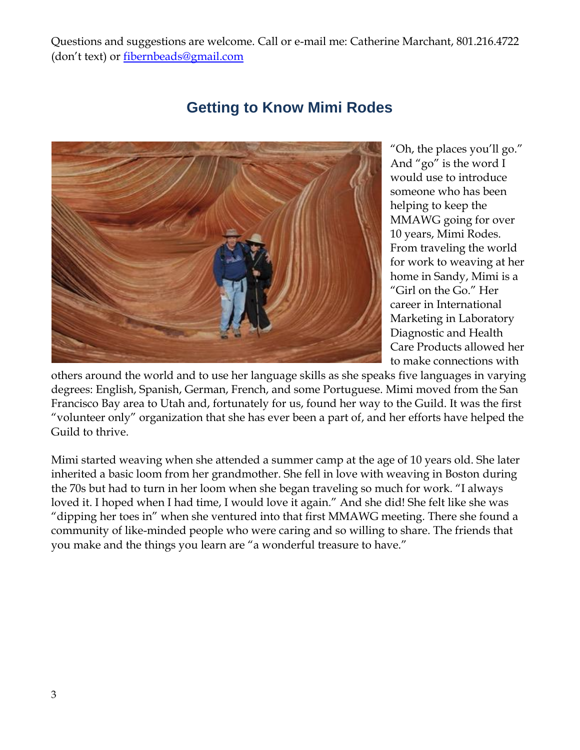Questions and suggestions are welcome. Call or e-mail me: Catherine Marchant, 801.216.4722 (don't text) or [fibernbeads@gmail.com](mailto:fibernbeads@gmail.com)



**Getting to Know Mimi Rodes**

"Oh, the places you'll go." And "go" is the word I would use to introduce someone who has been helping to keep the MMAWG going for over 10 years, Mimi Rodes. From traveling the world for work to weaving at her home in Sandy, Mimi is a "Girl on the Go." Her career in International Marketing in Laboratory Diagnostic and Health Care Products allowed her to make connections with

others around the world and to use her language skills as she speaks five languages in varying degrees: English, Spanish, German, French, and some Portuguese. Mimi moved from the San Francisco Bay area to Utah and, fortunately for us, found her way to the Guild. It was the first "volunteer only" organization that she has ever been a part of, and her efforts have helped the Guild to thrive.

Mimi started weaving when she attended a summer camp at the age of 10 years old. She later inherited a basic loom from her grandmother. She fell in love with weaving in Boston during the 70s but had to turn in her loom when she began traveling so much for work. "I always loved it. I hoped when I had time, I would love it again." And she did! She felt like she was "dipping her toes in" when she ventured into that first MMAWG meeting. There she found a community of like-minded people who were caring and so willing to share. The friends that you make and the things you learn are "a wonderful treasure to have."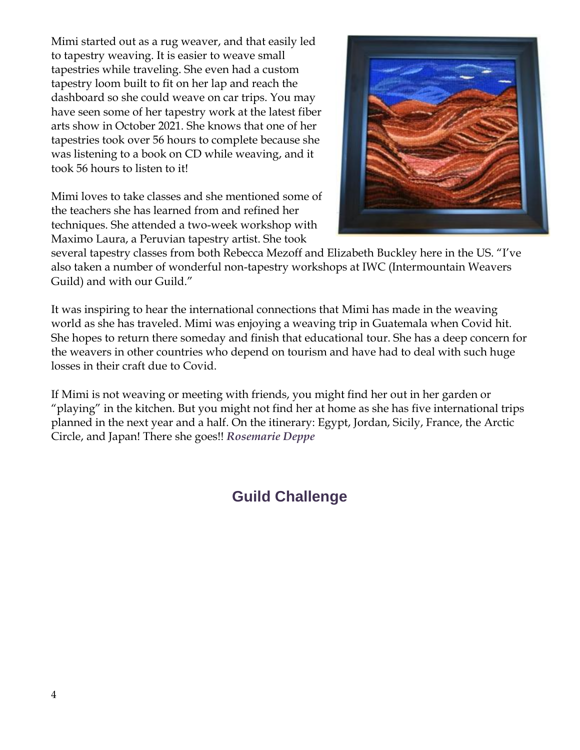Mimi started out as a rug weaver, and that easily led to tapestry weaving. It is easier to weave small tapestries while traveling. She even had a custom tapestry loom built to fit on her lap and reach the dashboard so she could weave on car trips. You may have seen some of her tapestry work at the latest fiber arts show in October 2021. She knows that one of her tapestries took over 56 hours to complete because she was listening to a book on CD while weaving, and it took 56 hours to listen to it!

Mimi loves to take classes and she mentioned some of the teachers she has learned from and refined her techniques. She attended a two-week workshop with Maximo Laura, a Peruvian tapestry artist. She took



several tapestry classes from both Rebecca Mezoff and Elizabeth Buckley here in the US. "I've also taken a number of wonderful non-tapestry workshops at IWC (Intermountain Weavers Guild) and with our Guild."

It was inspiring to hear the international connections that Mimi has made in the weaving world as she has traveled. Mimi was enjoying a weaving trip in Guatemala when Covid hit. She hopes to return there someday and finish that educational tour. She has a deep concern for the weavers in other countries who depend on tourism and have had to deal with such huge losses in their craft due to Covid.

If Mimi is not weaving or meeting with friends, you might find her out in her garden or "playing" in the kitchen. But you might not find her at home as she has five international trips planned in the next year and a half. On the itinerary: Egypt, Jordan, Sicily, France, the Arctic Circle, and Japan! There she goes!! *Rosemarie Deppe*

## **Guild Challenge**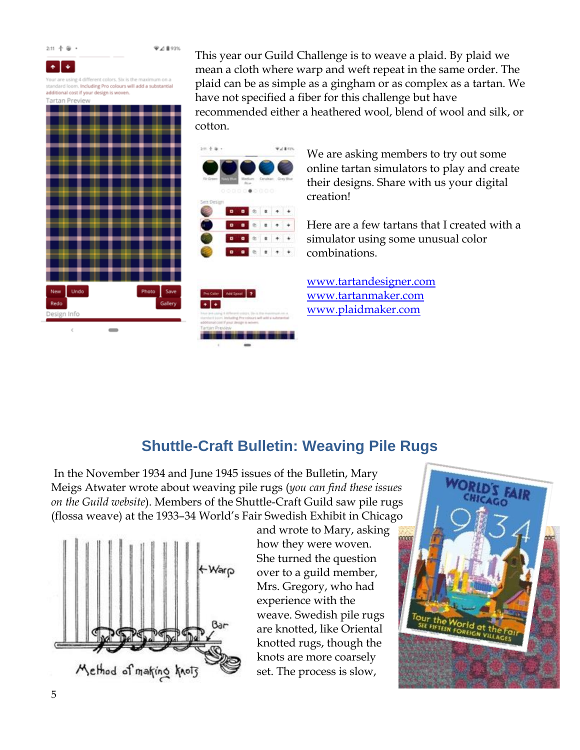$2:11 + 12 +$ 

●21 893%

٠  $\ddot{\bullet}$ 

Your are using 4 diff standard loom, Including Pro colours will add a substantial additional cost if your design is woven. Contract Pro

| New         | Undo |  |  | Photo Save |
|-------------|------|--|--|------------|
|             |      |  |  |            |
| Redo        |      |  |  |            |
| Design Info |      |  |  |            |

This year our Guild Challenge is to weave a plaid. By plaid we mean a cloth where warp and weft repeat in the same order. The plaid can be as simple as a gingham or as complex as a tartan. We have not specified a fiber for this challenge but have recommended either a heathered wool, blend of wool and silk, or cotton.





We are asking members to try out some online tartan simulators to play and create their designs. Share with us your digital creation!

Here are a few tartans that I created with a simulator using some unusual color combinations.

[www.tartandesigner.com](http://www.tartandesigner.com/) [www.tartanmaker.com](http://www.tartanmaker.com/) [www.plaidmaker.com](http://www.plaidmaker.com/)

## **Shuttle-Craft Bulletin: Weaving Pile Rugs**

In the November 1934 and June 1945 issues of the Bulletin, Mary Meigs Atwater wrote about weaving pile rugs (*you can find these issues on the Guild website*). Members of the Shuttle-Craft Guild saw pile rugs (flossa weave) at the 1933–34 World's Fair Swedish Exhibit in Chicago



and wrote to Mary, asking how they were woven. She turned the question over to a guild member, Mrs. Gregory, who had experience with the weave. Swedish pile rugs are knotted, like Oriental knotted rugs, though the knots are more coarsely set. The process is slow,

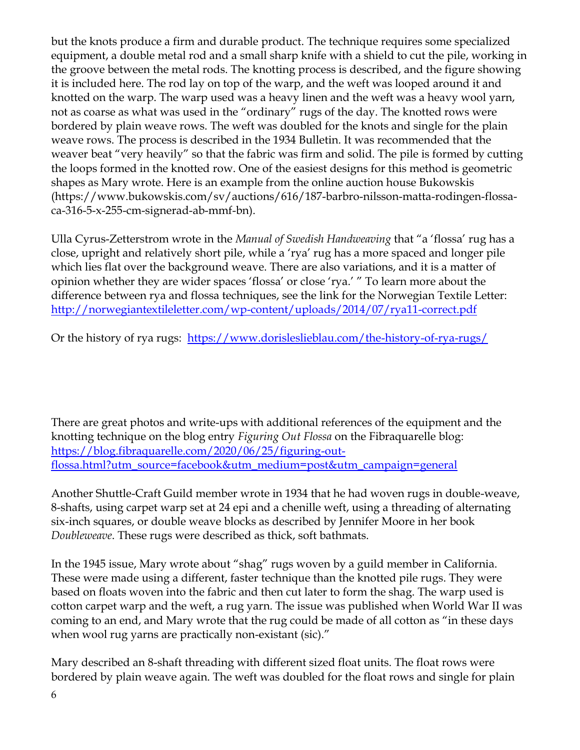but the knots produce a firm and durable product. The technique requires some specialized equipment, a double metal rod and a small sharp knife with a shield to cut the pile, working in the groove between the metal rods. The knotting process is described, and the figure showing it is included here. The rod lay on top of the warp, and the weft was looped around it and knotted on the warp. The warp used was a heavy linen and the weft was a heavy wool yarn, not as coarse as what was used in the "ordinary" rugs of the day. The knotted rows were bordered by plain weave rows. The weft was doubled for the knots and single for the plain weave rows. The process is described in the 1934 Bulletin. It was recommended that the weaver beat "very heavily" so that the fabric was firm and solid. The pile is formed by cutting the loops formed in the knotted row. One of the easiest designs for this method is geometric shapes as Mary wrote. Here is an example from the online auction house Bukowskis (https://www.bukowskis.com/sv/auctions/616/187-barbro-nilsson-matta-rodingen-flossaca-316-5-x-255-cm-signerad-ab-mmf-bn).

Ulla Cyrus-Zetterstrom wrote in the *Manual of Swedish Handweaving* that "a 'flossa' rug has a close, upright and relatively short pile, while a 'rya' rug has a more spaced and longer pile which lies flat over the background weave. There are also variations, and it is a matter of opinion whether they are wider spaces 'flossa' or close 'rya.' " To learn more about the difference between rya and flossa techniques, see the link for the Norwegian Textile Letter: <http://norwegiantextileletter.com/wp-content/uploads/2014/07/rya11-correct.pdf>

Or the history of rya rugs: <https://www.dorisleslieblau.com/the-history-of-rya-rugs/>

There are great photos and write-ups with additional references of the equipment and the knotting technique on the blog entry *Figuring Out Flossa* on the Fibraquarelle blog: [https://blog.fibraquarelle.com/2020/06/25/figuring-out](https://blog.fibraquarelle.com/2020/06/25/figuring-out-flossa.html?utm_source=facebook&utm_medium=post&utm_campaign=general%20)[flossa.html?utm\\_source=facebook&utm\\_medium=post&utm\\_campaign=general](https://blog.fibraquarelle.com/2020/06/25/figuring-out-flossa.html?utm_source=facebook&utm_medium=post&utm_campaign=general%20)

Another Shuttle-Craft Guild member wrote in 1934 that he had woven rugs in double-weave, 8-shafts, using carpet warp set at 24 epi and a chenille weft, using a threading of alternating six-inch squares, or double weave blocks as described by Jennifer Moore in her book *Doubleweave*. These rugs were described as thick, soft bathmats.

In the 1945 issue, Mary wrote about "shag" rugs woven by a guild member in California. These were made using a different, faster technique than the knotted pile rugs. They were based on floats woven into the fabric and then cut later to form the shag. The warp used is cotton carpet warp and the weft, a rug yarn. The issue was published when World War II was coming to an end, and Mary wrote that the rug could be made of all cotton as "in these days when wool rug yarns are practically non-existant (sic)."

Mary described an 8-shaft threading with different sized float units. The float rows were bordered by plain weave again. The weft was doubled for the float rows and single for plain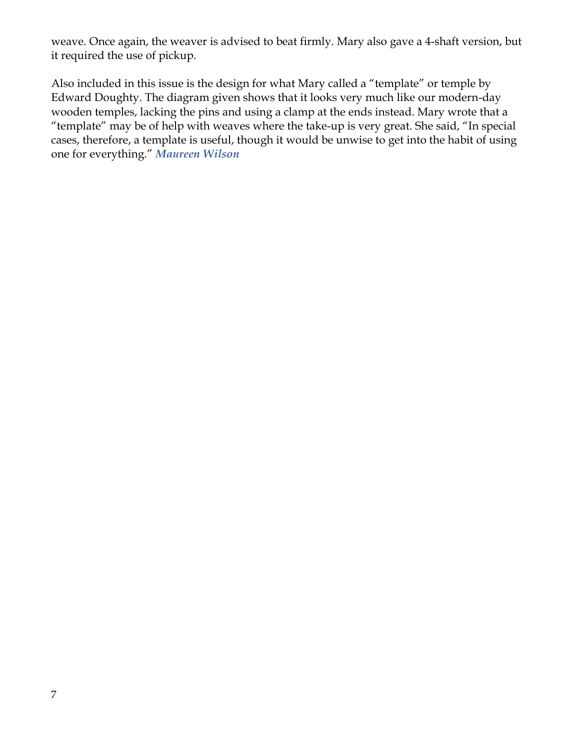weave. Once again, the weaver is advised to beat firmly. Mary also gave a 4-shaft version, but it required the use of pickup.

Also included in this issue is the design for what Mary called a "template" or temple by Edward Doughty. The diagram given shows that it looks very much like our modern-day wooden temples, lacking the pins and using a clamp at the ends instead. Mary wrote that a "template" may be of help with weaves where the take-up is very great. She said, "In special cases, therefore, a template is useful, though it would be unwise to get into the habit of using one for everything." *Maureen Wilson*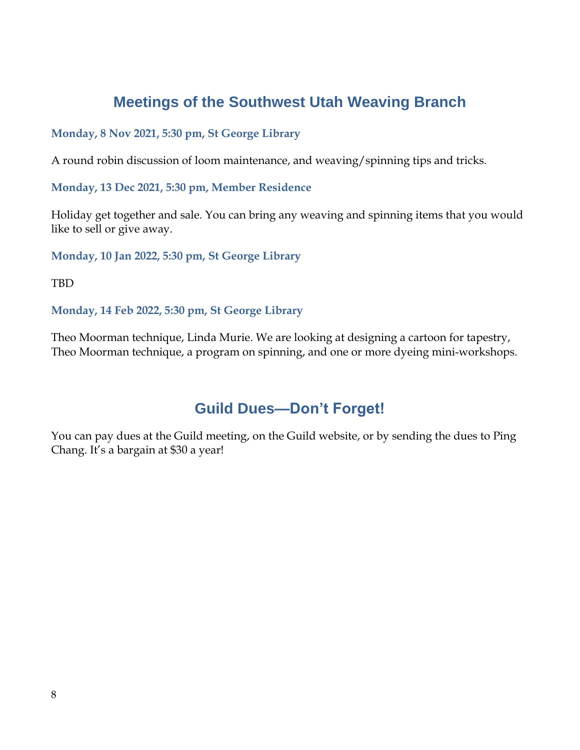## **Meetings of the Southwest Utah Weaving Branch**

## **Monday, 8 Nov 2021, 5:30 pm, St George Library**

A round robin discussion of loom maintenance, and weaving/spinning tips and tricks.

**Monday, 13 Dec 2021, 5:30 pm, Member Residence**

Holiday get together and sale. You can bring any weaving and spinning items that you would like to sell or give away.

**Monday, 10 Jan 2022, 5:30 pm, St George Library**

TBD

**Monday, 14 Feb 2022, 5:30 pm, St George Library**

Theo Moorman technique, Linda Murie. We are looking at designing a cartoon for tapestry, Theo Moorman technique, a program on spinning, and one or more dyeing mini-workshops.

## **Guild Dues—Don't Forget!**

You can pay dues at the Guild meeting, on the Guild website, or by sending the dues to Ping Chang. It's a bargain at \$30 a year!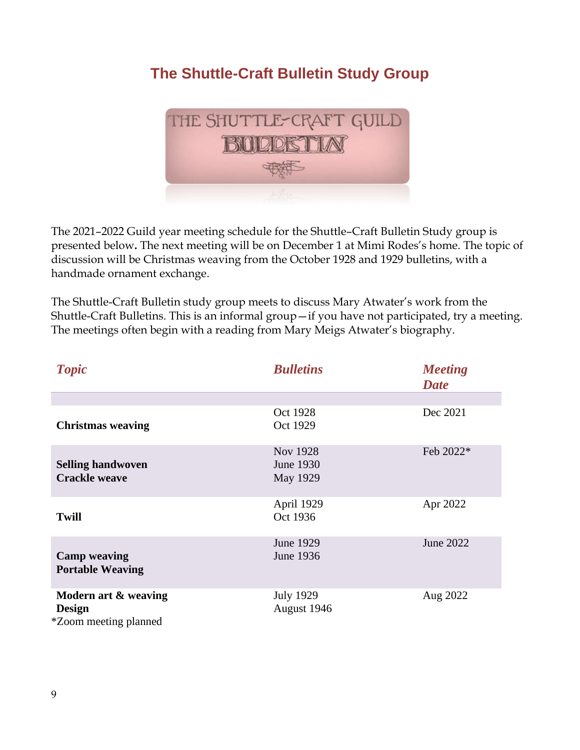## **The Shuttle-Craft Bulletin Study Group**



The 2021–2022 Guild year meeting schedule for the Shuttle–Craft Bulletin Study group is presented below**.** The next meeting will be on December 1 at Mimi Rodes's home. The topic of discussion will be Christmas weaving from the October 1928 and 1929 bulletins, with a handmade ornament exchange.

The Shuttle-Craft Bulletin study group meets to discuss Mary Atwater's work from the Shuttle-Craft Bulletins. This is an informal group—if you have not participated, try a meeting. The meetings often begin with a reading from Mary Meigs Atwater's biography.

| <b>Topic</b>                                                          | <b>Bulletins</b>                         | <b>Meeting</b><br><b>Date</b> |
|-----------------------------------------------------------------------|------------------------------------------|-------------------------------|
|                                                                       |                                          |                               |
| <b>Christmas weaving</b>                                              | Oct 1928<br>Oct 1929                     | Dec 2021                      |
| <b>Selling handwoven</b><br><b>Crackle weave</b>                      | <b>Nov 1928</b><br>June 1930<br>May 1929 | Feb 2022*                     |
| <b>Twill</b>                                                          | April 1929<br>Oct 1936                   | Apr 2022                      |
| <b>Camp weaving</b><br><b>Portable Weaving</b>                        | June 1929<br>June 1936                   | June 2022                     |
| Modern art & weaving<br><b>Design</b><br><i>*Zoom meeting planned</i> | <b>July 1929</b><br>August 1946          | Aug 2022                      |